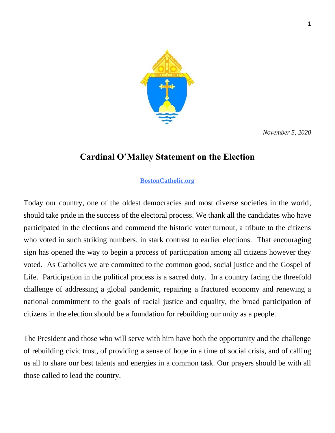

*November 5, 2020*

## **Cardinal O'Malley Statement on the Election**

## **[BostonCatholic.org](https://www.bostoncatholic.org/)**

Today our country, one of the oldest democracies and most diverse societies in the world, should take pride in the success of the electoral process. We thank all the candidates who have participated in the elections and commend the historic voter turnout, a tribute to the citizens who voted in such striking numbers, in stark contrast to earlier elections. That encouraging sign has opened the way to begin a process of participation among all citizens however they voted. As Catholics we are committed to the common good, social justice and the Gospel of Life. Participation in the political process is a sacred duty. In a country facing the threefold challenge of addressing a global pandemic, repairing a fractured economy and renewing a national commitment to the goals of racial justice and equality, the broad participation of citizens in the election should be a foundation for rebuilding our unity as a people.

The President and those who will serve with him have both the opportunity and the challenge of rebuilding civic trust, of providing a sense of hope in a time of social crisis, and of calling us all to share our best talents and energies in a common task. Our prayers should be with all those called to lead the country.